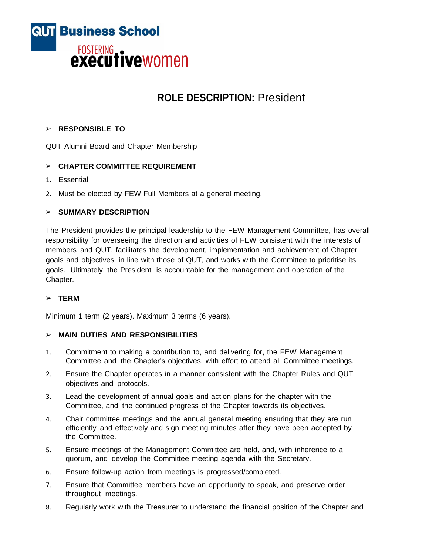

# **ROLE DESCRIPTION:** President

# ➢ **RESPONSIBLE TO**

QUT Alumni Board and Chapter Membership

# ➢ **CHAPTER COMMITTEE REQUIREMENT**

- 1. Essential
- 2. Must be elected by FEW Full Members at a general meeting.

## ➢ **SUMMARY DESCRIPTION**

The President provides the principal leadership to the FEW Management Committee, has overall responsibility for overseeing the direction and activities of FEW consistent with the interests of members and QUT, facilitates the development, implementation and achievement of Chapter goals and objectives in line with those of QUT, and works with the Committee to prioritise its goals. Ultimately, the President is accountable for the management and operation of the Chapter.

# ➢ **TERM**

Minimum 1 term (2 years). Maximum 3 terms (6 years).

## ➢ **MAIN DUTIES AND RESPONSIBILITIES**

- 1. Commitment to making a contribution to, and delivering for, the FEW Management Committee and the Chapter's objectives, with effort to attend all Committee meetings.
- 2. Ensure the Chapter operates in a manner consistent with the Chapter Rules and QUT objectives and protocols.
- 3. Lead the development of annual goals and action plans for the chapter with the Committee, and the continued progress of the Chapter towards its objectives.
- 4. Chair committee meetings and the annual general meeting ensuring that they are run efficiently and effectively and sign meeting minutes after they have been accepted by the Committee.
- 5. Ensure meetings of the Management Committee are held, and, with inherence to a quorum, and develop the Committee meeting agenda with the Secretary.
- 6. Ensure follow-up action from meetings is progressed/completed.
- 7. Ensure that Committee members have an opportunity to speak, and preserve order throughout meetings.
- 8. Regularly work with the Treasurer to understand the financial position of the Chapter and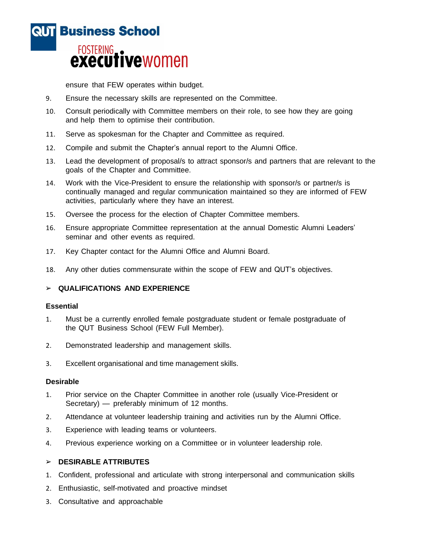

ensure that FEW operates within budget.

- 9. Ensure the necessary skills are represented on the Committee.
- 10. Consult periodically with Committee members on their role, to see how they are going and help them to optimise their contribution.
- 11. Serve as spokesman for the Chapter and Committee as required.
- 12. Compile and submit the Chapter's annual report to the Alumni Office.
- 13. Lead the development of proposal/s to attract sponsor/s and partners that are relevant to the goals of the Chapter and Committee.
- 14. Work with the Vice-President to ensure the relationship with sponsor/s or partner/s is continually managed and regular communication maintained so they are informed of FEW activities, particularly where they have an interest.
- 15. Oversee the process for the election of Chapter Committee members.
- 16. Ensure appropriate Committee representation at the annual Domestic Alumni Leaders' seminar and other events as required.
- 17. Key Chapter contact for the Alumni Office and Alumni Board.
- 18. Any other duties commensurate within the scope of FEW and QUT's objectives.

## ➢ **QUALIFICATIONS AND EXPERIENCE**

#### **Essential**

- 1. Must be a currently enrolled female postgraduate student or female postgraduate of the QUT Business School (FEW Full Member).
- 2. Demonstrated leadership and management skills.
- 3. Excellent organisational and time management skills.

#### **Desirable**

- 1. Prior service on the Chapter Committee in another role (usually Vice-President or Secretary) — preferably minimum of 12 months.
- 2. Attendance at volunteer leadership training and activities run by the Alumni Office.
- 3. Experience with leading teams or volunteers.
- 4. Previous experience working on a Committee or in volunteer leadership role.

# ➢ **DESIRABLE ATTRIBUTES**

- 1. Confident, professional and articulate with strong interpersonal and communication skills
- 2. Enthusiastic, self-motivated and proactive mindset
- 3. Consultative and approachable